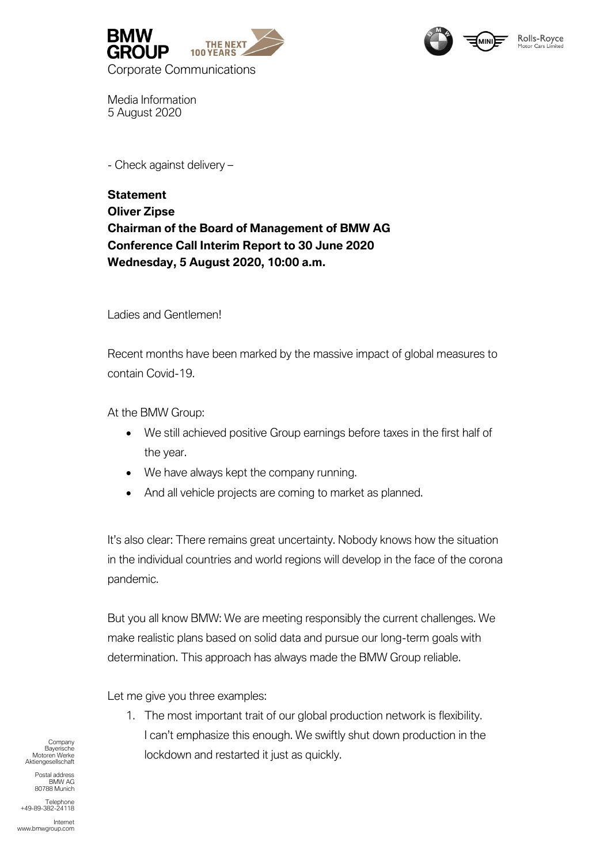



Media Information 5 August 2020

- Check against delivery –

## **Statement Oliver Zipse Chairman of the Board of Management of BMW AG Conference Call Interim Report to 30 June 2020 Wednesday, 5 August 2020, 10:00 a.m.**

Ladies and Gentlemen!

Recent months have been marked by the massive impact of global measures to contain Covid-19.

At the BMW Group:

- We still achieved positive Group earnings before taxes in the first half of the year.
- We have always kept the company running.
- And all vehicle projects are coming to market as planned.

It's also clear: There remains great uncertainty. Nobody knows how the situation in the individual countries and world regions will develop in the face of the corona pandemic.

But you all know BMW: We are meeting responsibly the current challenges. We make realistic plans based on solid data and pursue our long-term goals with determination. This approach has always made the BMW Group reliable.

Let me give you three examples:

1. The most important trait of our global production network is flexibility. I can't emphasize this enough. We swiftly shut down production in the lockdown and restarted it just as quickly.

**Company** Bayerische Motoren Werke Aktiengesellschaft

> Postal address BMW AG 80788 Munich

Telephone +49-89-382-24118

Internet www.bmwgroup.com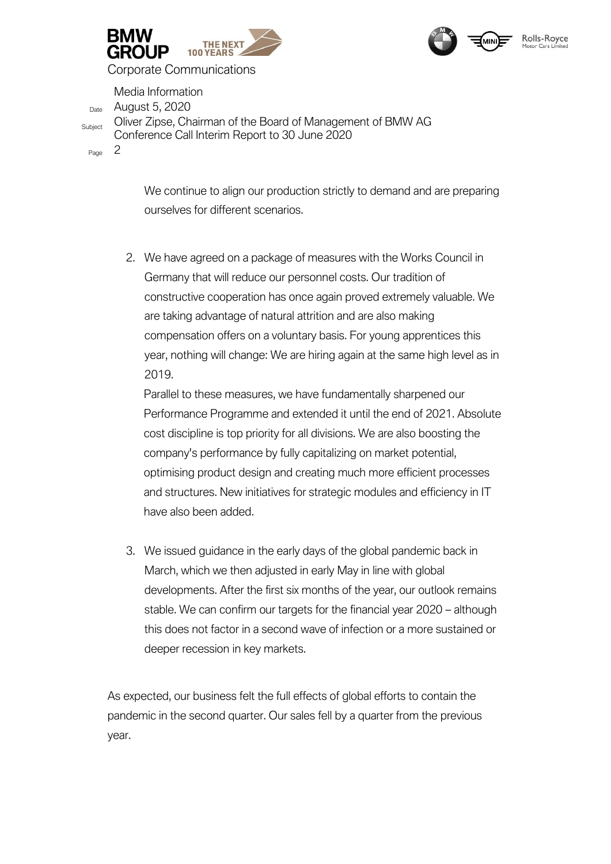



Media Information Date August 5, 2020 Subject Oliver Zipse, Chairman of the Board of Management of BMW AG Conference Call Interim Report to 30 June 2020

Page 2

We continue to align our production strictly to demand and are preparing ourselves for different scenarios.

2. We have agreed on a package of measures with the Works Council in Germany that will reduce our personnel costs. Our tradition of constructive cooperation has once again proved extremely valuable. We are taking advantage of natural attrition and are also making compensation offers on a voluntary basis. For young apprentices this year, nothing will change: We are hiring again at the same high level as in 2019.

Parallel to these measures, we have fundamentally sharpened our Performance Programme and extended it until the end of 2021. Absolute cost discipline is top priority for all divisions. We are also boosting the company's performance by fully capitalizing on market potential, optimising product design and creating much more efficient processes and structures. New initiatives for strategic modules and efficiency in IT have also been added.

3. We issued guidance in the early days of the global pandemic back in March, which we then adjusted in early May in line with global developments. After the first six months of the year, our outlook remains stable. We can confirm our targets for the financial year 2020 – although this does not factor in a second wave of infection or a more sustained or deeper recession in key markets.

As expected, our business felt the full effects of global efforts to contain the pandemic in the second quarter. Our sales fell by a quarter from the previous year.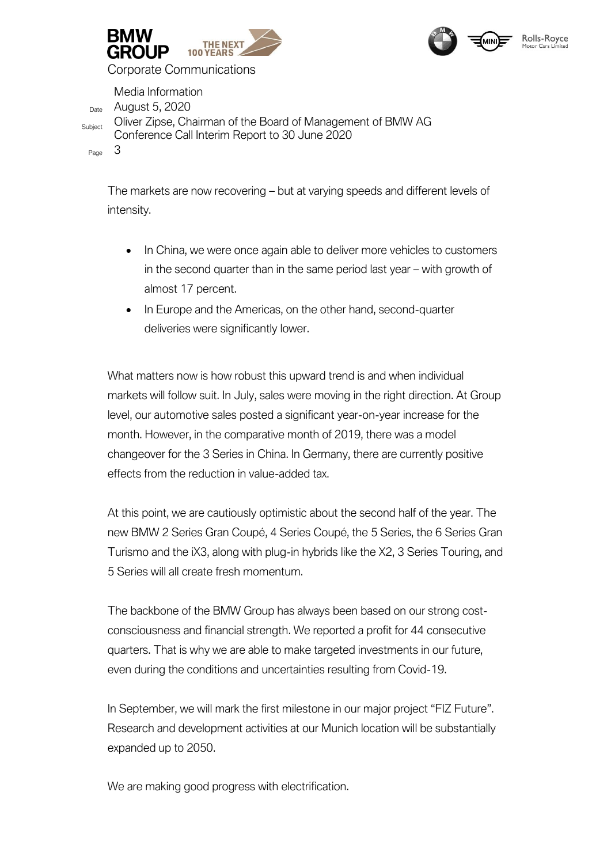



Media Information Date August 5, 2020 Subject Oliver Zipse, Chairman of the Board of Management of BMW AG Conference Call Interim Report to 30 June 2020 Page 3

The markets are now recovering – but at varying speeds and different levels of intensity.

- In China, we were once again able to deliver more vehicles to customers in the second quarter than in the same period last year – with growth of almost 17 percent.
- In Europe and the Americas, on the other hand, second-quarter deliveries were significantly lower.

What matters now is how robust this upward trend is and when individual markets will follow suit. In July, sales were moving in the right direction. At Group level, our automotive sales posted a significant year-on-year increase for the month. However, in the comparative month of 2019, there was a model changeover for the 3 Series in China. In Germany, there are currently positive effects from the reduction in value-added tax.

At this point, we are cautiously optimistic about the second half of the year. The new BMW 2 Series Gran Coupé, 4 Series Coupé, the 5 Series, the 6 Series Gran Turismo and the iX3, along with plug-in hybrids like the X2, 3 Series Touring, and 5 Series will all create fresh momentum.

The backbone of the BMW Group has always been based on our strong costconsciousness and financial strength. We reported a profit for 44 consecutive quarters. That is why we are able to make targeted investments in our future, even during the conditions and uncertainties resulting from Covid-19.

In September, we will mark the first milestone in our major project "FIZ Future". Research and development activities at our Munich location will be substantially expanded up to 2050.

We are making good progress with electrification.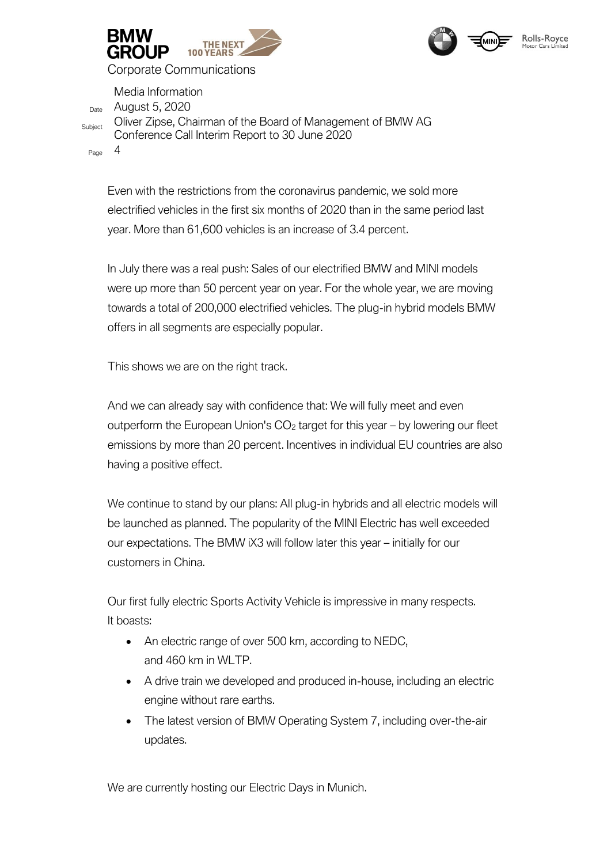



Media Information

Date August 5, 2020 Subject Oliver Zipse, Chairman of the Board of Management of BMW AG Conference Call Interim Report to 30 June 2020

Page 4

Even with the restrictions from the coronavirus pandemic, we sold more electrified vehicles in the first six months of 2020 than in the same period last year. More than 61,600 vehicles is an increase of 3.4 percent.

In July there was a real push: Sales of our electrified BMW and MINI models were up more than 50 percent year on year. For the whole year, we are moving towards a total of 200,000 electrified vehicles. The plug-in hybrid models BMW offers in all segments are especially popular.

This shows we are on the right track.

And we can already say with confidence that: We will fully meet and even outperform the European Union's  $CO<sub>2</sub>$  target for this year – by lowering our fleet emissions by more than 20 percent. Incentives in individual EU countries are also having a positive effect.

We continue to stand by our plans: All plug-in hybrids and all electric models will be launched as planned. The popularity of the MINI Electric has well exceeded our expectations. The BMW iX3 will follow later this year – initially for our customers in China.

Our first fully electric Sports Activity Vehicle is impressive in many respects. It boasts:

- An electric range of over 500 km, according to NEDC, and 460 km in WLTP.
- A drive train we developed and produced in-house, including an electric engine without rare earths.
- The latest version of BMW Operating System 7, including over-the-air updates.

We are currently hosting our Electric Days in Munich.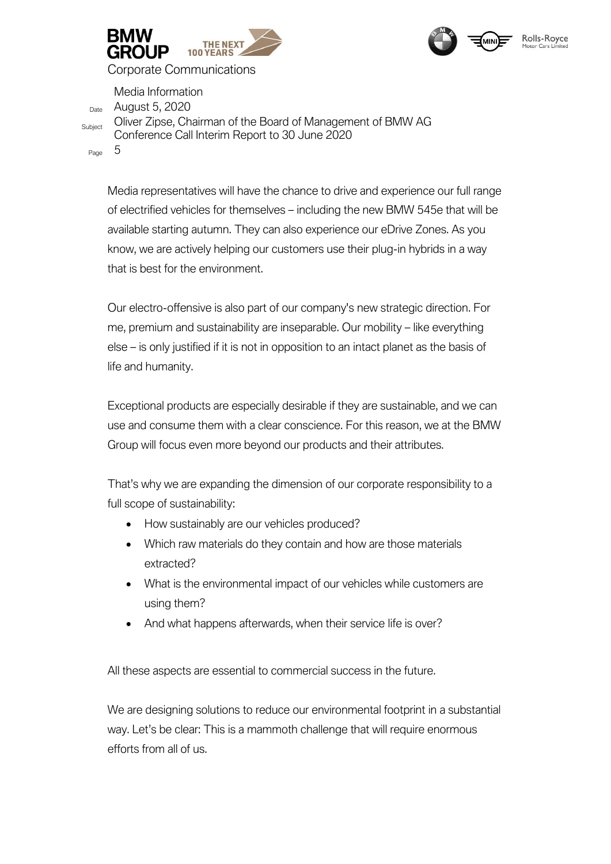



Date August 5, 2020

Media Information

Subject Oliver Zipse, Chairman of the Board of Management of BMW AG Conference Call Interim Report to 30 June 2020

Page 5

Media representatives will have the chance to drive and experience our full range of electrified vehicles for themselves – including the new BMW 545e that will be available starting autumn. They can also experience our eDrive Zones. As you know, we are actively helping our customers use their plug-in hybrids in a way that is best for the environment.

Our electro-offensive is also part of our company's new strategic direction. For me, premium and sustainability are inseparable. Our mobility – like everything else – is only justified if it is not in opposition to an intact planet as the basis of life and humanity.

Exceptional products are especially desirable if they are sustainable, and we can use and consume them with a clear conscience. For this reason, we at the BMW Group will focus even more beyond our products and their attributes.

That's why we are expanding the dimension of our corporate responsibility to a full scope of sustainability:

- How sustainably are our vehicles produced?
- Which raw materials do they contain and how are those materials extracted?
- What is the environmental impact of our vehicles while customers are using them?
- And what happens afterwards, when their service life is over?

All these aspects are essential to commercial success in the future.

We are designing solutions to reduce our environmental footprint in a substantial way. Let's be clear: This is a mammoth challenge that will require enormous efforts from all of us.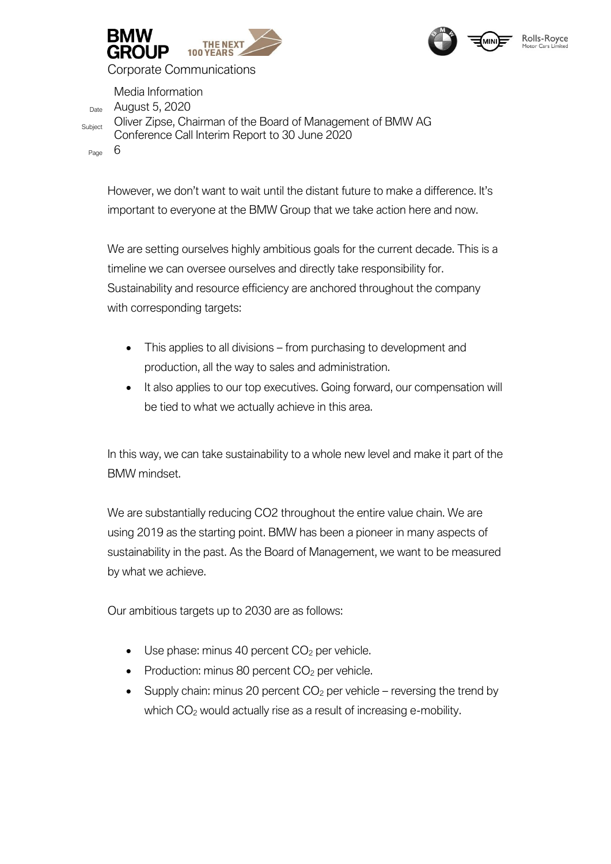



Media Information Date August 5, 2020 Subject Oliver Zipse, Chairman of the Board of Management of BMW AG Conference Call Interim Report to 30 June 2020 Page 6

However, we don't want to wait until the distant future to make a difference. It's important to everyone at the BMW Group that we take action here and now.

We are setting ourselves highly ambitious goals for the current decade. This is a timeline we can oversee ourselves and directly take responsibility for. Sustainability and resource efficiency are anchored throughout the company with corresponding targets:

- This applies to all divisions from purchasing to development and production, all the way to sales and administration.
- It also applies to our top executives. Going forward, our compensation will be tied to what we actually achieve in this area.

In this way, we can take sustainability to a whole new level and make it part of the BMW mindset.

We are substantially reducing CO2 throughout the entire value chain. We are using 2019 as the starting point. BMW has been a pioneer in many aspects of sustainability in the past. As the Board of Management, we want to be measured by what we achieve.

Our ambitious targets up to 2030 are as follows:

- $\bullet$  Use phase: minus 40 percent  $CO<sub>2</sub>$  per vehicle.
- Production: minus 80 percent  $CO<sub>2</sub>$  per vehicle.
- Supply chain: minus 20 percent  $CO<sub>2</sub>$  per vehicle reversing the trend by which  $CO<sub>2</sub>$  would actually rise as a result of increasing e-mobility.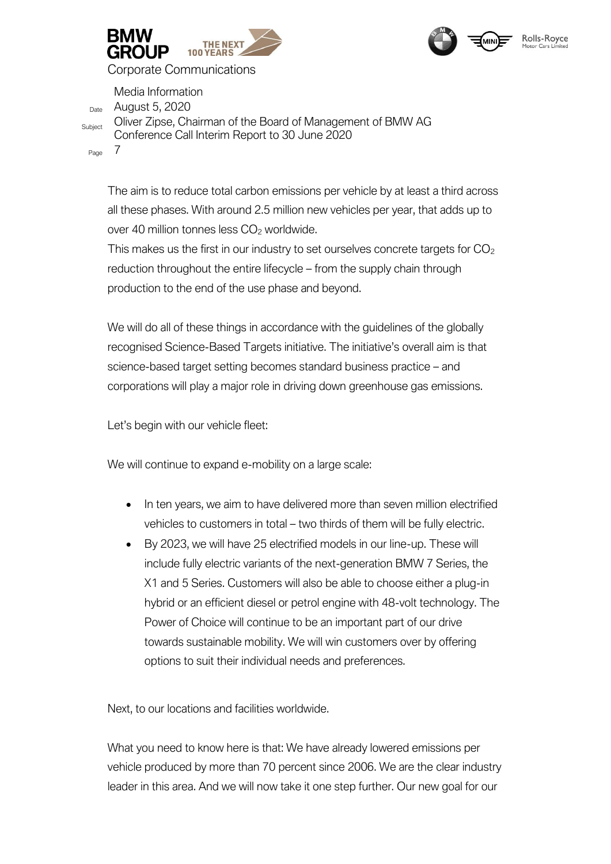



Media Information

Date August 5, 2020 Subject Oliver Zipse, Chairman of the Board of Management of BMW AG Conference Call Interim Report to 30 June 2020

Page 7

The aim is to reduce total carbon emissions per vehicle by at least a third across all these phases. With around 2.5 million new vehicles per year, that adds up to over 40 million tonnes less  $CO<sub>2</sub>$  worldwide.

This makes us the first in our industry to set ourselves concrete targets for  $CO<sub>2</sub>$ reduction throughout the entire lifecycle – from the supply chain through production to the end of the use phase and beyond.

We will do all of these things in accordance with the guidelines of the globally recognised Science-Based Targets initiative. The initiative's overall aim is that science-based target setting becomes standard business practice – and corporations will play a major role in driving down greenhouse gas emissions.

Let's begin with our vehicle fleet:

We will continue to expand e-mobility on a large scale:

- In ten years, we aim to have delivered more than seven million electrified vehicles to customers in total – two thirds of them will be fully electric.
- By 2023, we will have 25 electrified models in our line-up. These will include fully electric variants of the next-generation BMW 7 Series, the X1 and 5 Series. Customers will also be able to choose either a plug-in hybrid or an efficient diesel or petrol engine with 48-volt technology. The Power of Choice will continue to be an important part of our drive towards sustainable mobility. We will win customers over by offering options to suit their individual needs and preferences.

Next, to our locations and facilities worldwide.

What you need to know here is that: We have already lowered emissions per vehicle produced by more than 70 percent since 2006. We are the clear industry leader in this area. And we will now take it one step further. Our new goal for our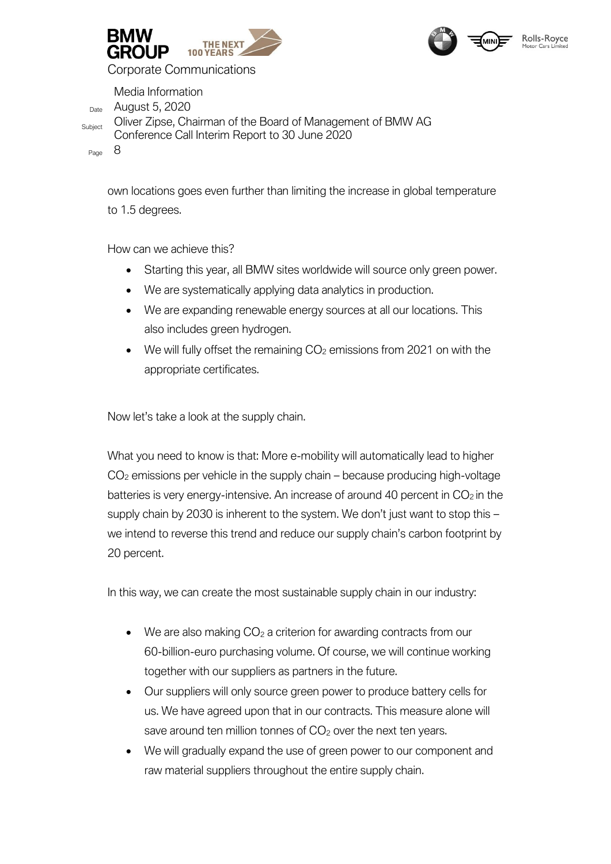



Media Information Date August 5, 2020 Subject Oliver Zipse, Chairman of the Board of Management of BMW AG Conference Call Interim Report to 30 June 2020 Page 8

own locations goes even further than limiting the increase in global temperature to 1.5 degrees.

How can we achieve this?

- Starting this year, all BMW sites worldwide will source only green power.
- We are systematically applying data analytics in production.
- We are expanding renewable energy sources at all our locations. This also includes green hydrogen.
- $\bullet$  We will fully offset the remaining  $CO<sub>2</sub>$  emissions from 2021 on with the appropriate certificates.

Now let's take a look at the supply chain.

What you need to know is that: More e-mobility will automatically lead to higher CO<sup>2</sup> emissions per vehicle in the supply chain – because producing high-voltage batteries is very energy-intensive. An increase of around 40 percent in  $CO<sub>2</sub>$  in the supply chain by 2030 is inherent to the system. We don't just want to stop this – we intend to reverse this trend and reduce our supply chain's carbon footprint by 20 percent.

In this way, we can create the most sustainable supply chain in our industry:

- $\bullet$  We are also making  $CO<sub>2</sub>$  a criterion for awarding contracts from our 60-billion-euro purchasing volume. Of course, we will continue working together with our suppliers as partners in the future.
- Our suppliers will only source green power to produce battery cells for us. We have agreed upon that in our contracts. This measure alone will save around ten million tonnes of  $CO<sub>2</sub>$  over the next ten years.
- We will gradually expand the use of green power to our component and raw material suppliers throughout the entire supply chain.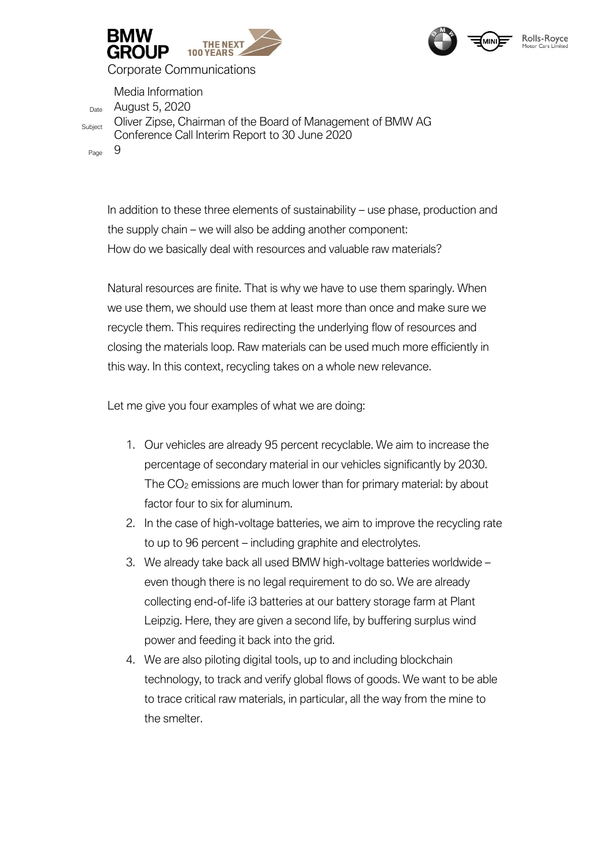



Media Information

Date August 5, 2020 Subject Oliver Zipse, Chairman of the Board of Management of BMW AG Conference Call Interim Report to 30 June 2020

Page 9

In addition to these three elements of sustainability – use phase, production and the supply chain – we will also be adding another component: How do we basically deal with resources and valuable raw materials?

Natural resources are finite. That is why we have to use them sparingly. When we use them, we should use them at least more than once and make sure we recycle them. This requires redirecting the underlying flow of resources and closing the materials loop. Raw materials can be used much more efficiently in this way. In this context, recycling takes on a whole new relevance.

Let me give you four examples of what we are doing:

- 1. Our vehicles are already 95 percent recyclable. We aim to increase the percentage of secondary material in our vehicles significantly by 2030. The  $CO<sub>2</sub>$  emissions are much lower than for primary material: by about factor four to six for aluminum.
- 2. In the case of high-voltage batteries, we aim to improve the recycling rate to up to 96 percent – including graphite and electrolytes.
- 3. We already take back all used BMW high-voltage batteries worldwide even though there is no legal requirement to do so. We are already collecting end-of-life i3 batteries at our battery storage farm at Plant Leipzig. Here, they are given a second life, by buffering surplus wind power and feeding it back into the grid.
- 4. We are also piloting digital tools, up to and including blockchain technology, to track and verify global flows of goods. We want to be able to trace critical raw materials, in particular, all the way from the mine to the smelter.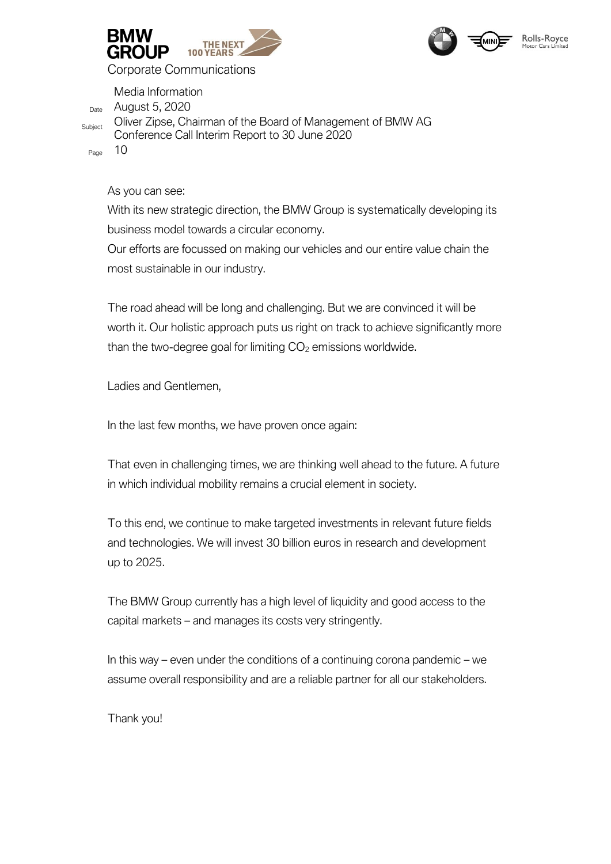



Media Information Date August 5, 2020 Subject Oliver Zipse, Chairman of the Board of Management of BMW AG Conference Call Interim Report to 30 June 2020

Page 10

As you can see:

With its new strategic direction, the BMW Group is systematically developing its business model towards a circular economy.

Our efforts are focussed on making our vehicles and our entire value chain the most sustainable in our industry.

The road ahead will be long and challenging. But we are convinced it will be worth it. Our holistic approach puts us right on track to achieve significantly more than the two-degree goal for limiting  $CO<sub>2</sub>$  emissions worldwide.

Ladies and Gentlemen,

In the last few months, we have proven once again:

That even in challenging times, we are thinking well ahead to the future. A future in which individual mobility remains a crucial element in society.

To this end, we continue to make targeted investments in relevant future fields and technologies. We will invest 30 billion euros in research and development up to 2025.

The BMW Group currently has a high level of liquidity and good access to the capital markets – and manages its costs very stringently.

In this way – even under the conditions of a continuing corona pandemic – we assume overall responsibility and are a reliable partner for all our stakeholders.

Thank you!